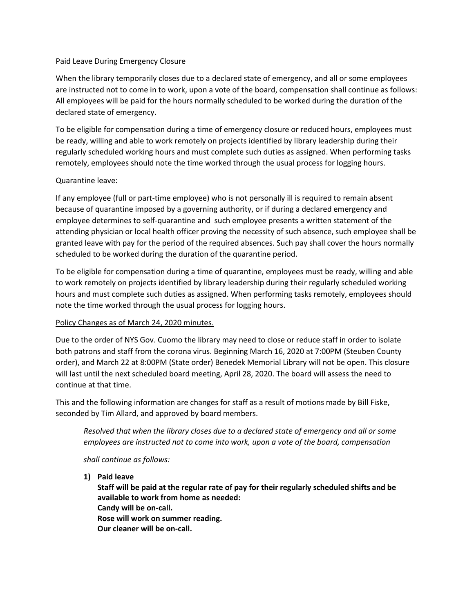## Paid Leave During Emergency Closure

When the library temporarily closes due to a declared state of emergency, and all or some employees are instructed not to come in to work, upon a vote of the board, compensation shall continue as follows: All employees will be paid for the hours normally scheduled to be worked during the duration of the declared state of emergency.

To be eligible for compensation during a time of emergency closure or reduced hours, employees must be ready, willing and able to work remotely on projects identified by library leadership during their regularly scheduled working hours and must complete such duties as assigned. When performing tasks remotely, employees should note the time worked through the usual process for logging hours.

## Quarantine leave:

If any employee (full or part-time employee) who is not personally ill is required to remain absent because of quarantine imposed by a governing authority, or if during a declared emergency and employee determines to self-quarantine and such employee presents a written statement of the attending physician or local health officer proving the necessity of such absence, such employee shall be granted leave with pay for the period of the required absences. Such pay shall cover the hours normally scheduled to be worked during the duration of the quarantine period.

To be eligible for compensation during a time of quarantine, employees must be ready, willing and able to work remotely on projects identified by library leadership during their regularly scheduled working hours and must complete such duties as assigned. When performing tasks remotely, employees should note the time worked through the usual process for logging hours.

## Policy Changes as of March 24, 2020 minutes.

Due to the order of NYS Gov. Cuomo the library may need to close or reduce staff in order to isolate both patrons and staff from the corona virus. Beginning March 16, 2020 at 7:00PM (Steuben County order), and March 22 at 8:00PM (State order) Benedek Memorial Library will not be open. This closure will last until the next scheduled board meeting, April 28, 2020. The board will assess the need to continue at that time.

This and the following information are changes for staff as a result of motions made by Bill Fiske, seconded by Tim Allard, and approved by board members.

*Resolved that when the library closes due to a declared state of emergency and all or some employees are instructed not to come into work, upon a vote of the board, compensation*

*shall continue as follows:*

**1) Paid leave**

**Staff will be paid at the regular rate of pay for their regularly scheduled shifts and be available to work from home as needed: Candy will be on-call. Rose will work on summer reading. Our cleaner will be on-call.**